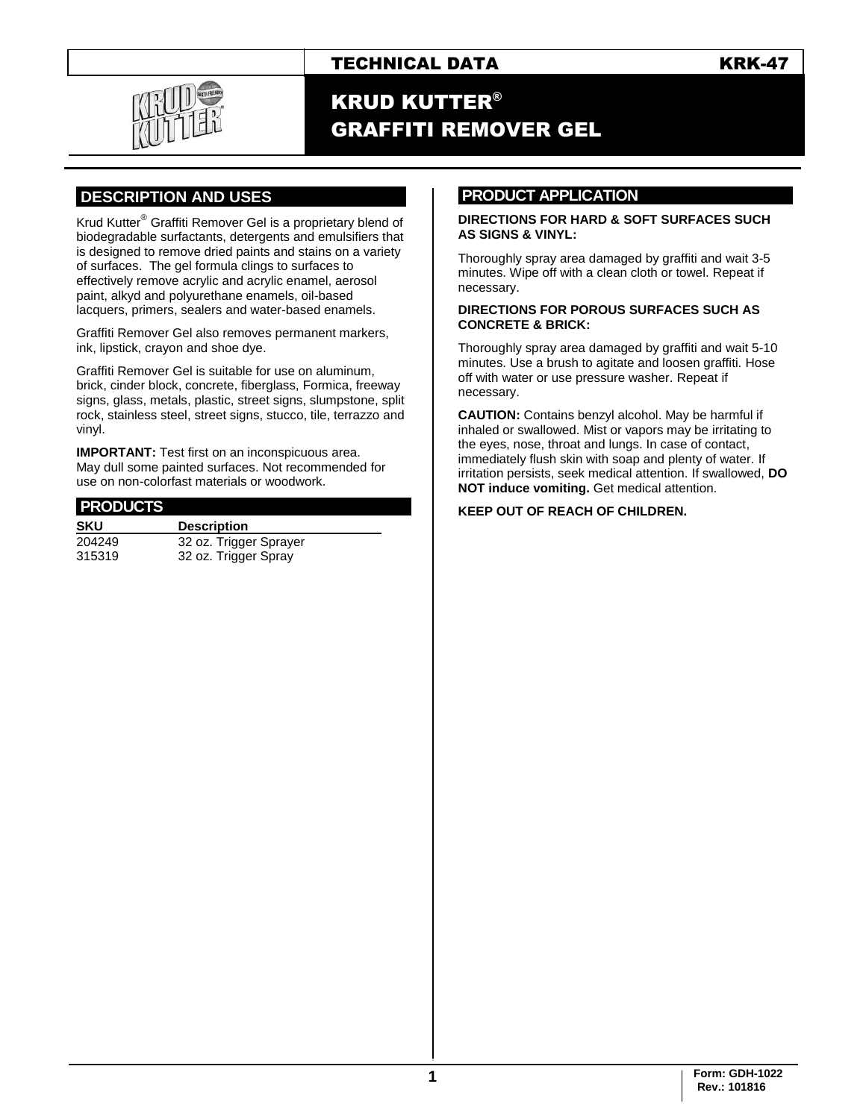# TECHNICAL DATA KRK-47



# KRUD KUTTER® GRAFFITI REMOVER GEL

## **.DESCRIPTION AND USES .**

Krud Kutter® Graffiti Remover Gel is a proprietary blend of biodegradable surfactants, detergents and emulsifiers that is designed to remove dried paints and stains on a variety of surfaces. The gel formula clings to surfaces to effectively remove acrylic and acrylic enamel, aerosol paint, alkyd and polyurethane enamels, oil-based lacquers, primers, sealers and water-based enamels.

Graffiti Remover Gel also removes permanent markers, ink, lipstick, crayon and shoe dye.

Graffiti Remover Gel is suitable for use on aluminum, brick, cinder block, concrete, fiberglass, Formica, freeway signs, glass, metals, plastic, street signs, slumpstone, split rock, stainless steel, street signs, stucco, tile, terrazzo and vinyl.

**IMPORTANT:** Test first on an inconspicuous area. May dull some painted surfaces. Not recommended for use on non-colorfast materials or woodwork.

#### **PRODUCTS . SKU Description** 204249 32 oz. Trigger Sprayer 315319 32 oz. Trigger Spray

### **PRODUCT APPLICATION .**

#### **DIRECTIONS FOR HARD & SOFT SURFACES SUCH AS SIGNS & VINYL:**

Thoroughly spray area damaged by graffiti and wait 3-5 minutes. Wipe off with a clean cloth or towel. Repeat if necessary.

#### **DIRECTIONS FOR POROUS SURFACES SUCH AS CONCRETE & BRICK:**

Thoroughly spray area damaged by graffiti and wait 5-10 minutes. Use a brush to agitate and loosen graffiti. Hose off with water or use pressure washer. Repeat if necessary.

**CAUTION:** Contains benzyl alcohol. May be harmful if inhaled or swallowed. Mist or vapors may be irritating to the eyes, nose, throat and lungs. In case of contact, immediately flush skin with soap and plenty of water. If irritation persists, seek medical attention. If swallowed, **DO NOT induce vomiting.** Get medical attention.

#### **KEEP OUT OF REACH OF CHILDREN.**